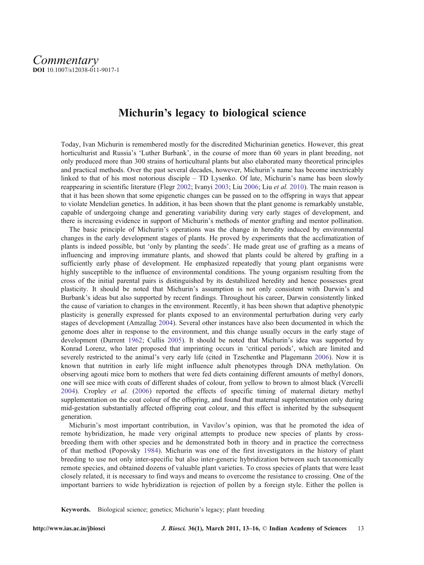# Michurin's legacy to biological science

Today, Ivan Michurin is remembered mostly for the discredited Michurinian genetics. However, this great horticulturist and Russia's 'Luther Burbank', in the course of more than 60 years in plant breeding, not only produced more than 300 strains of horticultural plants but also elaborated many theoretical principles and practical methods. Over the past several decades, however, Michurin's name has become inextricably linked to that of his most notorious disciple – TD Lysenko. Of late, Michurin's name has been slowly reappearing in scientific literature (Flegr [2002](#page-3-0); Ivanyi [2003;](#page-3-0) Liu [2006](#page-3-0); Liu et al. [2010](#page-3-0)). The main reason is that it has been shown that some epigenetic changes can be passed on to the offspring in ways that appear to violate Mendelian genetics. In addition, it has been shown that the plant genome is remarkably unstable, capable of undergoing change and generating variability during very early stages of development, and there is increasing evidence in support of Michurin's methods of mentor grafting and mentor pollination.

The basic principle of Michurin's operations was the change in heredity induced by environmental changes in the early development stages of plants. He proved by experiments that the acclimatization of plants is indeed possible, but 'only by planting the seeds'. He made great use of grafting as a means of influencing and improving immature plants, and showed that plants could be altered by grafting in a sufficiently early phase of development. He emphasized repeatedly that young plant organisms were highly susceptible to the influence of environmental conditions. The young organism resulting from the cross of the initial parental pairs is distinguished by its destabilized heredity and hence possesses great plasticity. It should be noted that Michurin's assumption is not only consistent with Darwin's and Burbank's ideas but also supported by recent findings. Throughout his career, Darwin consistently linked the cause of variation to changes in the environment. Recently, it has been shown that adaptive phenotypic plasticity is generally expressed for plants exposed to an environmental perturbation during very early stages of development (Amzallag [2004\)](#page-3-0). Several other instances have also been documented in which the genome does alter in response to the environment, and this change usually occurs in the early stage of development (Durrent [1962;](#page-3-0) Cullis [2005](#page-3-0)). It should be noted that Michurin's idea was supported by Konrad Lorenz, who later proposed that imprinting occurs in 'critical periods', which are limited and severely restricted to the animal's very early life (cited in Tzschentke and Plagemann [2006](#page-3-0)). Now it is known that nutrition in early life might influence adult phenotypes through DNA methylation. On observing agouti mice born to mothers that were fed diets containing different amounts of methyl donors, one will see mice with coats of different shades of colour, from yellow to brown to almost black (Vercelli [2004\)](#page-3-0). Cropley *et al.* ([2006\)](#page-3-0) reported the effects of specific timing of maternal dietary methyl supplementation on the coat colour of the offspring, and found that maternal supplementation only during mid-gestation substantially affected offspring coat colour, and this effect is inherited by the subsequent generation.

Michurin's most important contribution, in Vavilov's opinion, was that he promoted the idea of remote hybridization, he made very original attempts to produce new species of plants by crossbreeding them with other species and he demonstrated both in theory and in practice the correctness of that method (Popovsky [1984](#page-3-0)). Michurin was one of the first investigators in the history of plant breeding to use not only inter-specific but also inter-generic hybridization between such taxonomically remote species, and obtained dozens of valuable plant varieties. To cross species of plants that were least closely related, it is necessary to find ways and means to overcome the resistance to crossing. One of the important barriers to wide hybridization is rejection of pollen by a foreign style. Either the pollen is

Keywords. Biological science; genetics; Michurin's legacy; plant breeding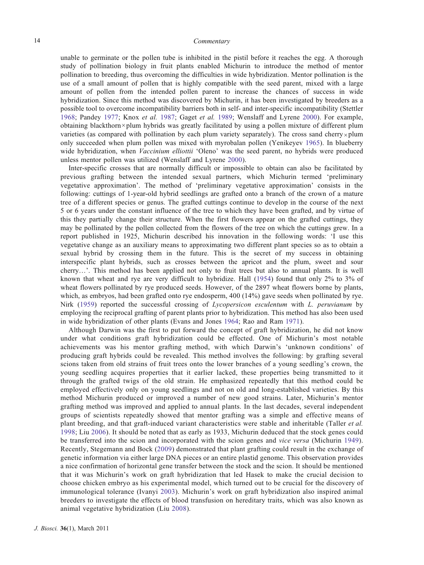## 14 Commentary

unable to germinate or the pollen tube is inhibited in the pistil before it reaches the egg. A thorough study of pollination biology in fruit plants enabled Michurin to introduce the method of mentor pollination to breeding, thus overcoming the difficulties in wide hybridization. Mentor pollination is the use of a small amount of pollen that is highly compatible with the seed parent, mixed with a large amount of pollen from the intended pollen parent to increase the chances of success in wide hybridization. Since this method was discovered by Michurin, it has been investigated by breeders as a possible tool to overcome incompatibility barriers both in self- and inter-specific incompatibility (Stettler [1968](#page-3-0); Pandey [1977](#page-3-0); Knox et al. [1987;](#page-3-0) Gaget et al. [1989;](#page-3-0) Wenslaff and Lyrene [2000\)](#page-3-0). For example, obtaining blackthorn×plum hybrids was greatly facilitated by using a pollen mixture of different plum varieties (as compared with pollination by each plum variety separately). The cross sand cherry  $\times$  plum only succeeded when plum pollen was mixed with myrobalan pollen (Yenikeyev [1965\)](#page-3-0). In blueberry wide hybridization, when Vaccinium elliottii 'Oleno' was the seed parent, no hybrids were produced unless mentor pollen was utilized (Wenslaff and Lyrene [2000](#page-3-0)).

Inter-specific crosses that are normally difficult or impossible to obtain can also be facilitated by previous grafting between the intended sexual partners, which Michurin termed 'preliminary vegetative approximation'. The method of 'preliminary vegetative approximation' consists in the following: cuttings of 1-year-old hybrid seedlings are grafted onto a branch of the crown of a mature tree of a different species or genus. The grafted cuttings continue to develop in the course of the next 5 or 6 years under the constant influence of the tree to which they have been grafted, and by virtue of this they partially change their structure. When the first flowers appear on the grafted cuttings, they may be pollinated by the pollen collected from the flowers of the tree on which the cuttings grew. In a report published in 1925, Michurin described his innovation in the following words: 'I use this vegetative change as an auxiliary means to approximating two different plant species so as to obtain a sexual hybrid by crossing them in the future. This is the secret of my success in obtaining interspecific plant hybrids, such as crosses between the apricot and the plum, sweet and sour cherry…'. This method has been applied not only to fruit trees but also to annual plants. It is well known that wheat and rye are very difficult to hybridize. Hall [\(1954\)](#page-3-0) found that only 2% to 3% of wheat flowers pollinated by rye produced seeds. However, of the 2897 wheat flowers borne by plants, which, as embryos, had been grafted onto rye endosperm, 400 (14%) gave seeds when pollinated by rye. Nirk [\(1959\)](#page-3-0) reported the successful crossing of Lycopersicon esculentum with L. peruvianum by employing the reciprocal grafting of parent plants prior to hybridization. This method has also been used in wide hybridization of other plants (Evans and Jones [1964](#page-3-0); Rao and Ram [1971](#page-3-0)).

Although Darwin was the first to put forward the concept of graft hybridization, he did not know under what conditions graft hybridization could be effected. One of Michurin's most notable achievements was his mentor grafting method, with which Darwin's 'unknown conditions' of producing graft hybrids could be revealed. This method involves the following: by grafting several scions taken from old strains of fruit trees onto the lower branches of a young seedling's crown, the young seedling acquires properties that it earlier lacked, these properties being transmitted to it through the grafted twigs of the old strain. He emphasized repeatedly that this method could be employed effectively only on young seedlings and not on old and long-established varieties. By this method Michurin produced or improved a number of new good strains. Later, Michurin's mentor grafting method was improved and applied to annual plants. In the last decades, several independent groups of scientists repeatedly showed that mentor grafting was a simple and effective means of plant breeding, and that graft-induced variant characteristics were stable and inheritable (Taller et al. [1998;](#page-3-0) Liu [2006\)](#page-3-0). It should be noted that as early as 1933, Michurin deduced that the stock genes could be transferred into the scion and incorporated with the scion genes and vice versa (Michurin [1949](#page-3-0)). Recently, Stegemann and Bock ([2009\)](#page-3-0) demonstrated that plant grafting could result in the exchange of genetic information via either large DNA pieces or an entire plastid genome. This observation provides a nice confirmation of horizontal gene transfer between the stock and the scion. It should be mentioned that it was Michurin's work on graft hybridization that led Hasek to make the crucial decision to choose chicken embryo as his experimental model, which turned out to be crucial for the discovery of immunological tolerance (Ivanyi [2003](#page-3-0)). Michurin's work on graft hybridization also inspired animal breeders to investigate the effects of blood transfusion on hereditary traits, which was also known as animal vegetative hybridization (Liu [2008](#page-3-0)).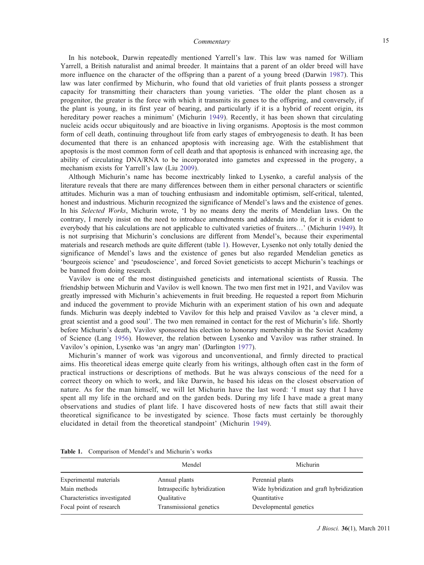## Commentary 15

In his notebook, Darwin repeatedly mentioned Yarrell's law. This law was named for William Yarrell, a British naturalist and animal breeder. It maintains that a parent of an older breed will have more influence on the character of the offspring than a parent of a young breed (Darwin [1987](#page-3-0)). This law was later confirmed by Michurin, who found that old varieties of fruit plants possess a stronger capacity for transmitting their characters than young varieties. 'The older the plant chosen as a progenitor, the greater is the force with which it transmits its genes to the offspring, and conversely, if the plant is young, in its first year of bearing, and particularly if it is a hybrid of recent origin, its hereditary power reaches a minimum' (Michurin [1949](#page-3-0)). Recently, it has been shown that circulating nucleic acids occur ubiquitously and are bioactive in living organisms. Apoptosis is the most common form of cell death, continuing throughout life from early stages of embryogenesis to death. It has been documented that there is an enhanced apoptosis with increasing age. With the establishment that apoptosis is the most common form of cell death and that apoptosis is enhanced with increasing age, the ability of circulating DNA/RNA to be incorporated into gametes and expressed in the progeny, a mechanism exists for Yarrell's law (Liu [2009](#page-3-0)).

Although Michurin's name has become inextricably linked to Lysenko, a careful analysis of the literature reveals that there are many differences between them in either personal characters or scientific attitudes. Michurin was a man of touching enthusiasm and indomitable optimism, self-critical, talented, honest and industrious. Michurin recognized the significance of Mendel's laws and the existence of genes. In his Selected Works, Michurin wrote, 'I by no means deny the merits of Mendelian laws. On the contrary, I merely insist on the need to introduce amendments and addenda into it, for it is evident to everybody that his calculations are not applicable to cultivated varieties of fruiters…' (Michurin [1949](#page-3-0)). It is not surprising that Michurin's conclusions are different from Mendel's, because their experimental materials and research methods are quite different (table 1). However, Lysenko not only totally denied the significance of Mendel's laws and the existence of genes but also regarded Mendelian genetics as 'bourgeois science' and 'pseudoscience', and forced Soviet geneticists to accept Michurin's teachings or be banned from doing research.

Vavilov is one of the most distinguished geneticists and international scientists of Russia. The friendship between Michurin and Vavilov is well known. The two men first met in 1921, and Vavilov was greatly impressed with Michurin's achievements in fruit breeding. He requested a report from Michurin and induced the government to provide Michurin with an experiment station of his own and adequate funds. Michurin was deeply indebted to Vavilov for this help and praised Vavilov as 'a clever mind, a great scientist and a good soul'. The two men remained in contact for the rest of Michurin's life. Shortly before Michurin's death, Vavilov sponsored his election to honorary membership in the Soviet Academy of Science (Lang [1956\)](#page-3-0). However, the relation between Lysenko and Vavilov was rather strained. In Vavilov's opinion, Lysenko was 'an angry man' (Darlington [1977](#page-3-0)).

Michurin's manner of work was vigorous and unconventional, and firmly directed to practical aims. His theoretical ideas emerge quite clearly from his writings, although often cast in the form of practical instructions or descriptions of methods. But he was always conscious of the need for a correct theory on which to work, and like Darwin, he based his ideas on the closest observation of nature. As for the man himself, we will let Michurin have the last word: 'I must say that I have spent all my life in the orchard and on the garden beds. During my life I have made a great many observations and studies of plant life. I have discovered hosts of new facts that still await their theoretical significance to be investigated by science. Those facts must certainly be thoroughly elucidated in detail from the theoretical standpoint' (Michurin [1949\)](#page-3-0).

| Mendel                      | Michurin                                   |
|-----------------------------|--------------------------------------------|
| Annual plants               | Perennial plants                           |
| Intraspecific hybridization | Wide hybridization and graft hybridization |
| Qualitative                 | Quantitative                               |
| Transmissional genetics     | Developmental genetics                     |
|                             |                                            |

Table 1. Comparison of Mendel's and Michurin's works